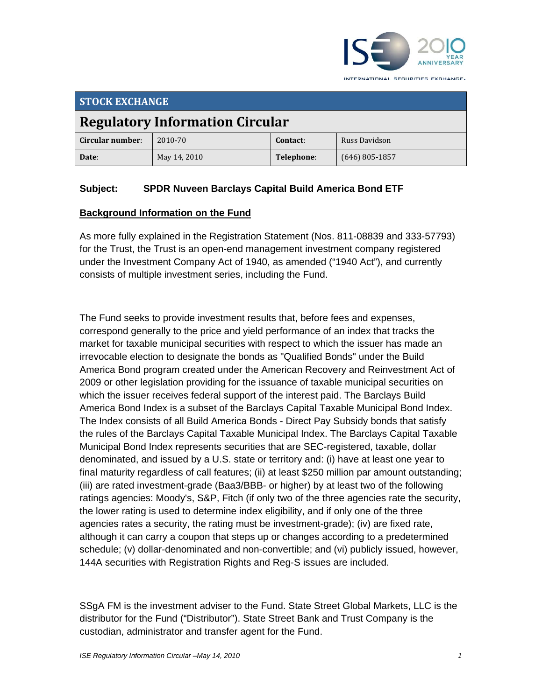

**STOCK EXCHANGE Regulatory Information Circular Circular number**: 2010‐70 **contact:** Russ Davidson **Date**: May 14, 2010 **Telephone**: (646) 805‐1857

# **Subject: SPDR Nuveen Barclays Capital Build America Bond ETF**

#### **Background Information on the Fund**

As more fully explained in the Registration Statement (Nos. 811-08839 and 333-57793) for the Trust, the Trust is an open-end management investment company registered under the Investment Company Act of 1940, as amended ("1940 Act"), and currently consists of multiple investment series, including the Fund.

The Fund seeks to provide investment results that, before fees and expenses, correspond generally to the price and yield performance of an index that tracks the market for taxable municipal securities with respect to which the issuer has made an irrevocable election to designate the bonds as "Qualified Bonds" under the Build America Bond program created under the American Recovery and Reinvestment Act of 2009 or other legislation providing for the issuance of taxable municipal securities on which the issuer receives federal support of the interest paid. The Barclays Build America Bond Index is a subset of the Barclays Capital Taxable Municipal Bond Index. The Index consists of all Build America Bonds - Direct Pay Subsidy bonds that satisfy the rules of the Barclays Capital Taxable Municipal Index. The Barclays Capital Taxable Municipal Bond Index represents securities that are SEC-registered, taxable, dollar denominated, and issued by a U.S. state or territory and: (i) have at least one year to final maturity regardless of call features; (ii) at least \$250 million par amount outstanding; (iii) are rated investment-grade (Baa3/BBB- or higher) by at least two of the following ratings agencies: Moody's, S&P, Fitch (if only two of the three agencies rate the security, the lower rating is used to determine index eligibility, and if only one of the three agencies rates a security, the rating must be investment-grade); (iv) are fixed rate, although it can carry a coupon that steps up or changes according to a predetermined schedule; (v) dollar-denominated and non-convertible; and (vi) publicly issued, however, 144A securities with Registration Rights and Reg-S issues are included.

SSgA FM is the investment adviser to the Fund. State Street Global Markets, LLC is the distributor for the Fund ("Distributor"). State Street Bank and Trust Company is the custodian, administrator and transfer agent for the Fund.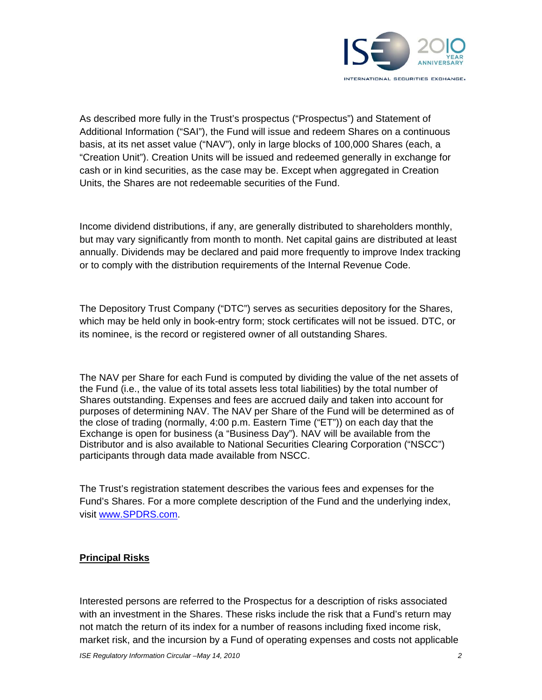

As described more fully in the Trust's prospectus ("Prospectus") and Statement of Additional Information ("SAI"), the Fund will issue and redeem Shares on a continuous basis, at its net asset value ("NAV"), only in large blocks of 100,000 Shares (each, a "Creation Unit"). Creation Units will be issued and redeemed generally in exchange for cash or in kind securities, as the case may be. Except when aggregated in Creation Units, the Shares are not redeemable securities of the Fund.

Income dividend distributions, if any, are generally distributed to shareholders monthly, but may vary significantly from month to month. Net capital gains are distributed at least annually. Dividends may be declared and paid more frequently to improve Index tracking or to comply with the distribution requirements of the Internal Revenue Code.

The Depository Trust Company ("DTC") serves as securities depository for the Shares, which may be held only in book-entry form; stock certificates will not be issued. DTC, or its nominee, is the record or registered owner of all outstanding Shares.

The NAV per Share for each Fund is computed by dividing the value of the net assets of the Fund (i.e., the value of its total assets less total liabilities) by the total number of Shares outstanding. Expenses and fees are accrued daily and taken into account for purposes of determining NAV. The NAV per Share of the Fund will be determined as of the close of trading (normally, 4:00 p.m. Eastern Time ("ET")) on each day that the Exchange is open for business (a "Business Day"). NAV will be available from the Distributor and is also available to National Securities Clearing Corporation ("NSCC") participants through data made available from NSCC.

The Trust's registration statement describes the various fees and expenses for the Fund's Shares. For a more complete description of the Fund and the underlying index, visit www.SPDRS.com.

### **Principal Risks**

Interested persons are referred to the Prospectus for a description of risks associated with an investment in the Shares. These risks include the risk that a Fund's return may not match the return of its index for a number of reasons including fixed income risk, market risk, and the incursion by a Fund of operating expenses and costs not applicable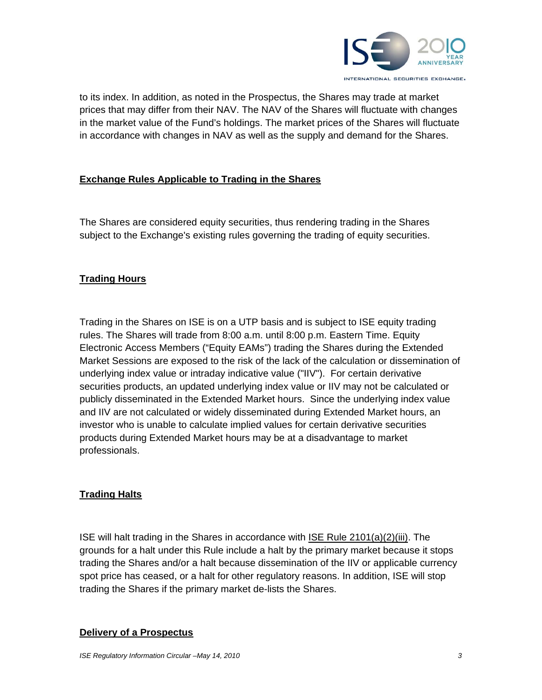

to its index. In addition, as noted in the Prospectus, the Shares may trade at market prices that may differ from their NAV. The NAV of the Shares will fluctuate with changes in the market value of the Fund's holdings. The market prices of the Shares will fluctuate in accordance with changes in NAV as well as the supply and demand for the Shares.

# **Exchange Rules Applicable to Trading in the Shares**

The Shares are considered equity securities, thus rendering trading in the Shares subject to the Exchange's existing rules governing the trading of equity securities.

## **Trading Hours**

Trading in the Shares on ISE is on a UTP basis and is subject to ISE equity trading rules. The Shares will trade from 8:00 a.m. until 8:00 p.m. Eastern Time. Equity Electronic Access Members ("Equity EAMs") trading the Shares during the Extended Market Sessions are exposed to the risk of the lack of the calculation or dissemination of underlying index value or intraday indicative value ("IIV"). For certain derivative securities products, an updated underlying index value or IIV may not be calculated or publicly disseminated in the Extended Market hours. Since the underlying index value and IIV are not calculated or widely disseminated during Extended Market hours, an investor who is unable to calculate implied values for certain derivative securities products during Extended Market hours may be at a disadvantage to market professionals.

# **Trading Halts**

ISE will halt trading in the Shares in accordance with ISE Rule 2101(a)(2)(iii). The grounds for a halt under this Rule include a halt by the primary market because it stops trading the Shares and/or a halt because dissemination of the IIV or applicable currency spot price has ceased, or a halt for other regulatory reasons. In addition, ISE will stop trading the Shares if the primary market de-lists the Shares.

#### **Delivery of a Prospectus**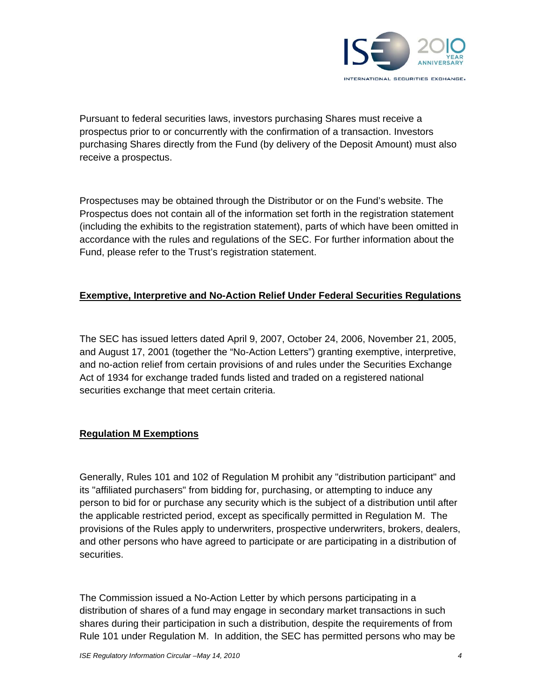

Pursuant to federal securities laws, investors purchasing Shares must receive a prospectus prior to or concurrently with the confirmation of a transaction. Investors purchasing Shares directly from the Fund (by delivery of the Deposit Amount) must also receive a prospectus.

Prospectuses may be obtained through the Distributor or on the Fund's website. The Prospectus does not contain all of the information set forth in the registration statement (including the exhibits to the registration statement), parts of which have been omitted in accordance with the rules and regulations of the SEC. For further information about the Fund, please refer to the Trust's registration statement.

## **Exemptive, Interpretive and No-Action Relief Under Federal Securities Regulations**

The SEC has issued letters dated April 9, 2007, October 24, 2006, November 21, 2005, and August 17, 2001 (together the "No-Action Letters") granting exemptive, interpretive, and no-action relief from certain provisions of and rules under the Securities Exchange Act of 1934 for exchange traded funds listed and traded on a registered national securities exchange that meet certain criteria.

# **Regulation M Exemptions**

Generally, Rules 101 and 102 of Regulation M prohibit any "distribution participant" and its "affiliated purchasers" from bidding for, purchasing, or attempting to induce any person to bid for or purchase any security which is the subject of a distribution until after the applicable restricted period, except as specifically permitted in Regulation M. The provisions of the Rules apply to underwriters, prospective underwriters, brokers, dealers, and other persons who have agreed to participate or are participating in a distribution of securities.

The Commission issued a No-Action Letter by which persons participating in a distribution of shares of a fund may engage in secondary market transactions in such shares during their participation in such a distribution, despite the requirements of from Rule 101 under Regulation M. In addition, the SEC has permitted persons who may be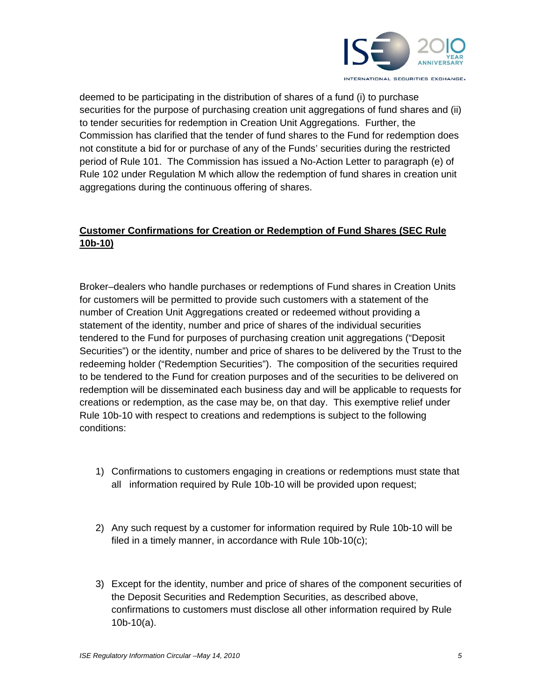

deemed to be participating in the distribution of shares of a fund (i) to purchase securities for the purpose of purchasing creation unit aggregations of fund shares and (ii) to tender securities for redemption in Creation Unit Aggregations. Further, the Commission has clarified that the tender of fund shares to the Fund for redemption does not constitute a bid for or purchase of any of the Funds' securities during the restricted period of Rule 101. The Commission has issued a No-Action Letter to paragraph (e) of Rule 102 under Regulation M which allow the redemption of fund shares in creation unit aggregations during the continuous offering of shares.

# **Customer Confirmations for Creation or Redemption of Fund Shares (SEC Rule 10b-10)**

Broker–dealers who handle purchases or redemptions of Fund shares in Creation Units for customers will be permitted to provide such customers with a statement of the number of Creation Unit Aggregations created or redeemed without providing a statement of the identity, number and price of shares of the individual securities tendered to the Fund for purposes of purchasing creation unit aggregations ("Deposit Securities") or the identity, number and price of shares to be delivered by the Trust to the redeeming holder ("Redemption Securities"). The composition of the securities required to be tendered to the Fund for creation purposes and of the securities to be delivered on redemption will be disseminated each business day and will be applicable to requests for creations or redemption, as the case may be, on that day. This exemptive relief under Rule 10b-10 with respect to creations and redemptions is subject to the following conditions:

- 1) Confirmations to customers engaging in creations or redemptions must state that all information required by Rule 10b-10 will be provided upon request;
- 2) Any such request by a customer for information required by Rule 10b-10 will be filed in a timely manner, in accordance with Rule 10b-10(c);
- 3) Except for the identity, number and price of shares of the component securities of the Deposit Securities and Redemption Securities, as described above, confirmations to customers must disclose all other information required by Rule 10b-10(a).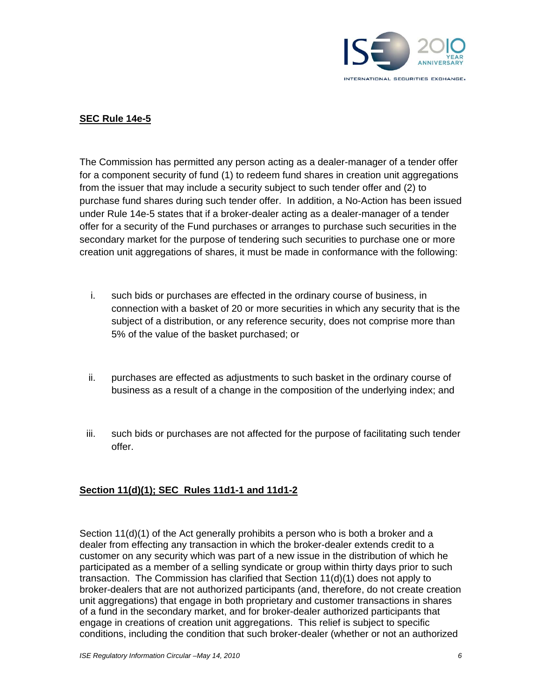

## **SEC Rule 14e-5**

The Commission has permitted any person acting as a dealer-manager of a tender offer for a component security of fund (1) to redeem fund shares in creation unit aggregations from the issuer that may include a security subject to such tender offer and (2) to purchase fund shares during such tender offer. In addition, a No-Action has been issued under Rule 14e-5 states that if a broker-dealer acting as a dealer-manager of a tender offer for a security of the Fund purchases or arranges to purchase such securities in the secondary market for the purpose of tendering such securities to purchase one or more creation unit aggregations of shares, it must be made in conformance with the following:

- i. such bids or purchases are effected in the ordinary course of business, in connection with a basket of 20 or more securities in which any security that is the subject of a distribution, or any reference security, does not comprise more than 5% of the value of the basket purchased; or
- ii. purchases are effected as adjustments to such basket in the ordinary course of business as a result of a change in the composition of the underlying index; and
- iii. such bids or purchases are not affected for the purpose of facilitating such tender offer.

### **Section 11(d)(1); SEC Rules 11d1-1 and 11d1-2**

Section 11(d)(1) of the Act generally prohibits a person who is both a broker and a dealer from effecting any transaction in which the broker-dealer extends credit to a customer on any security which was part of a new issue in the distribution of which he participated as a member of a selling syndicate or group within thirty days prior to such transaction. The Commission has clarified that Section 11(d)(1) does not apply to broker-dealers that are not authorized participants (and, therefore, do not create creation unit aggregations) that engage in both proprietary and customer transactions in shares of a fund in the secondary market, and for broker-dealer authorized participants that engage in creations of creation unit aggregations. This relief is subject to specific conditions, including the condition that such broker-dealer (whether or not an authorized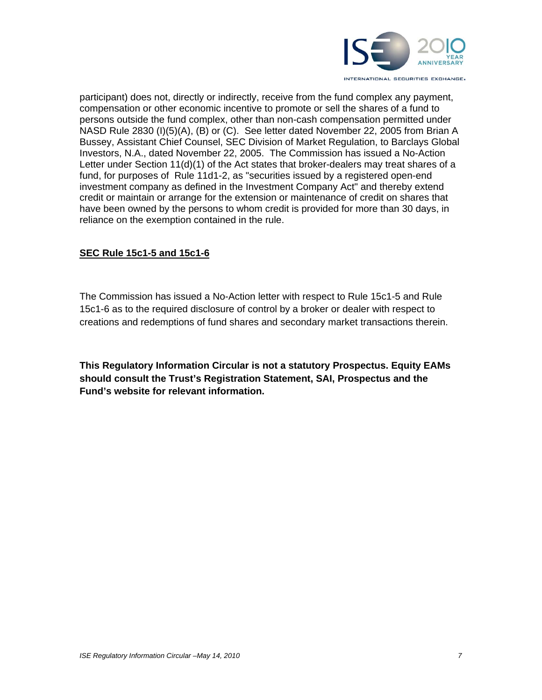

participant) does not, directly or indirectly, receive from the fund complex any payment, compensation or other economic incentive to promote or sell the shares of a fund to persons outside the fund complex, other than non-cash compensation permitted under NASD Rule 2830 (I)(5)(A), (B) or (C). See letter dated November 22, 2005 from Brian A Bussey, Assistant Chief Counsel, SEC Division of Market Regulation, to Barclays Global Investors, N.A., dated November 22, 2005. The Commission has issued a No-Action Letter under Section 11(d)(1) of the Act states that broker-dealers may treat shares of a fund, for purposes of Rule 11d1-2, as "securities issued by a registered open-end investment company as defined in the Investment Company Act" and thereby extend credit or maintain or arrange for the extension or maintenance of credit on shares that have been owned by the persons to whom credit is provided for more than 30 days, in reliance on the exemption contained in the rule.

### **SEC Rule 15c1-5 and 15c1-6**

The Commission has issued a No-Action letter with respect to Rule 15c1-5 and Rule 15c1-6 as to the required disclosure of control by a broker or dealer with respect to creations and redemptions of fund shares and secondary market transactions therein.

**This Regulatory Information Circular is not a statutory Prospectus. Equity EAMs should consult the Trust's Registration Statement, SAI, Prospectus and the Fund's website for relevant information.**